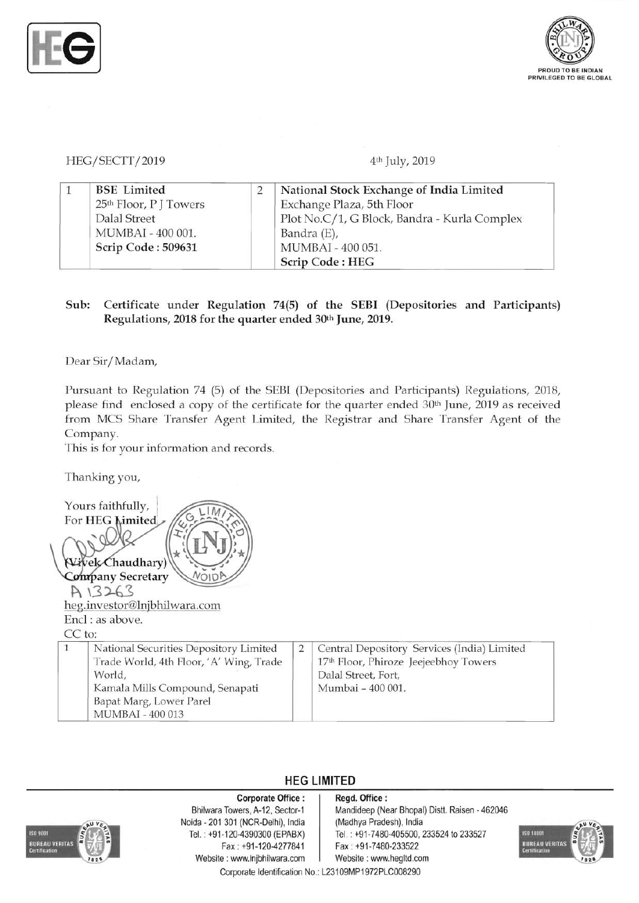



HEG/SECTT/2019 4th July, 2019

|  | <b>BSE</b> Limited                 | National Stock Exchange of India Limited     |
|--|------------------------------------|----------------------------------------------|
|  | 25 <sup>th</sup> Floor, P J Towers | Exchange Plaza, 5th Floor                    |
|  | Dalal Street                       | Plot No.C/1, G Block, Bandra - Kurla Complex |
|  | MUMBAI - 400 001.                  | Bandra (E),                                  |
|  | Scrip Code: 509631                 | MUMBAI - 400 051.                            |
|  |                                    | Scrip Code: HEG                              |

## Sub: Certificate under Regulation 74(5) of the SEBI (Depositories and Participants) Regulations, 2018 for the quarter ended 30th June, 2019.

Dear Sir/Madam,

Pursuant to Regulation 74 (5) of the SEBI (Depositories and Participants) Regulations, 2018, please find enclosed a copy of the certificate for the quarter ended 30<sup>th</sup> June, 2019 as received from MCS Share Transfer Agent Limited, the Registrar and Share Transfer Agent of the Company.

This is for your information and records.

Thanking you,

Yours faithfully, For HEG Limited Vivek Chaudhary) Company Secretary A 13263 heg.investor@lnjbhilwara.com Encl: as above. CC to: 1 National Securities Depository Limited 2 Central Depository Services (India) Limited Trade World, 4th Floor, 'A' Wing, Trade 17<sup>th</sup> Floor, Phiroze Jeejeebhoy Towers World, **World**, **Dalal Street**, Fort, Kamala Mills Compound, Senapati Mumbai - 400 001. Bapat Marg, Lower Parel MUMBAI - 400 013

## **HEG LIMITED**



Noida - 201 301 (NCR-Delhi), India (Madhya Pradesh), India Fax : +91-120-4277841 Fax: +91-7480-233522 Website: www.lnjbhilwara.com | Website: www.hegltd.com

## Corporate Office : | Regd. Office :

Bhilwara Towers, A-12, Sector-1 | Mandideep (Near Bhopal) Distt. Raisen - 462046 Tel. : +91-120-4390300 (EPABX) Tel. : +91-7480-405500, 233524 to 233527



Corporate Identification No.: L23109MP1972PLC008290